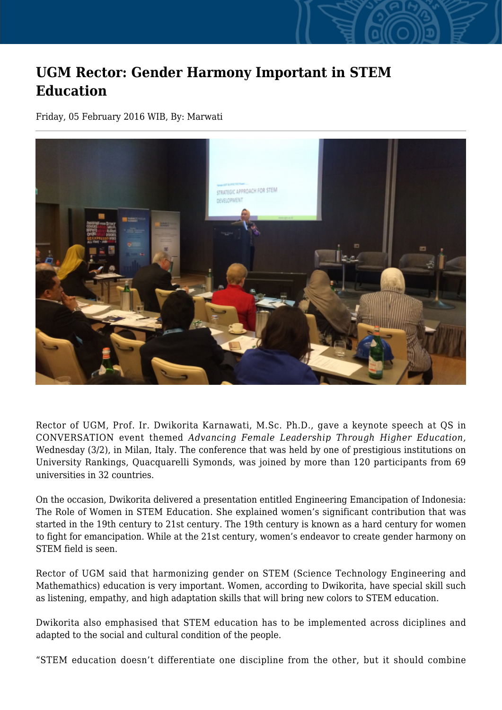## **UGM Rector: Gender Harmony Important in STEM Education**

Friday, 05 February 2016 WIB, By: Marwati



Rector of UGM, Prof. Ir. Dwikorita Karnawati, M.Sc. Ph.D., gave a keynote speech at QS in CONVERSATION event themed *Advancing Female Leadership Through Higher Education,* Wednesday (3/2), in Milan, Italy. The conference that was held by one of prestigious institutions on University Rankings, Quacquarelli Symonds, was joined by more than 120 participants from 69 universities in 32 countries.

On the occasion, Dwikorita delivered a presentation entitled Engineering Emancipation of Indonesia: The Role of Women in STEM Education. She explained women's significant contribution that was started in the 19th century to 21st century. The 19th century is known as a hard century for women to fight for emancipation. While at the 21st century, women's endeavor to create gender harmony on STEM field is seen.

Rector of UGM said that harmonizing gender on STEM (Science Technology Engineering and Mathemathics) education is very important. Women, according to Dwikorita, have special skill such as listening, empathy, and high adaptation skills that will bring new colors to STEM education.

Dwikorita also emphasised that STEM education has to be implemented across diciplines and adapted to the social and cultural condition of the people.

"STEM education doesn't differentiate one discipline from the other, but it should combine